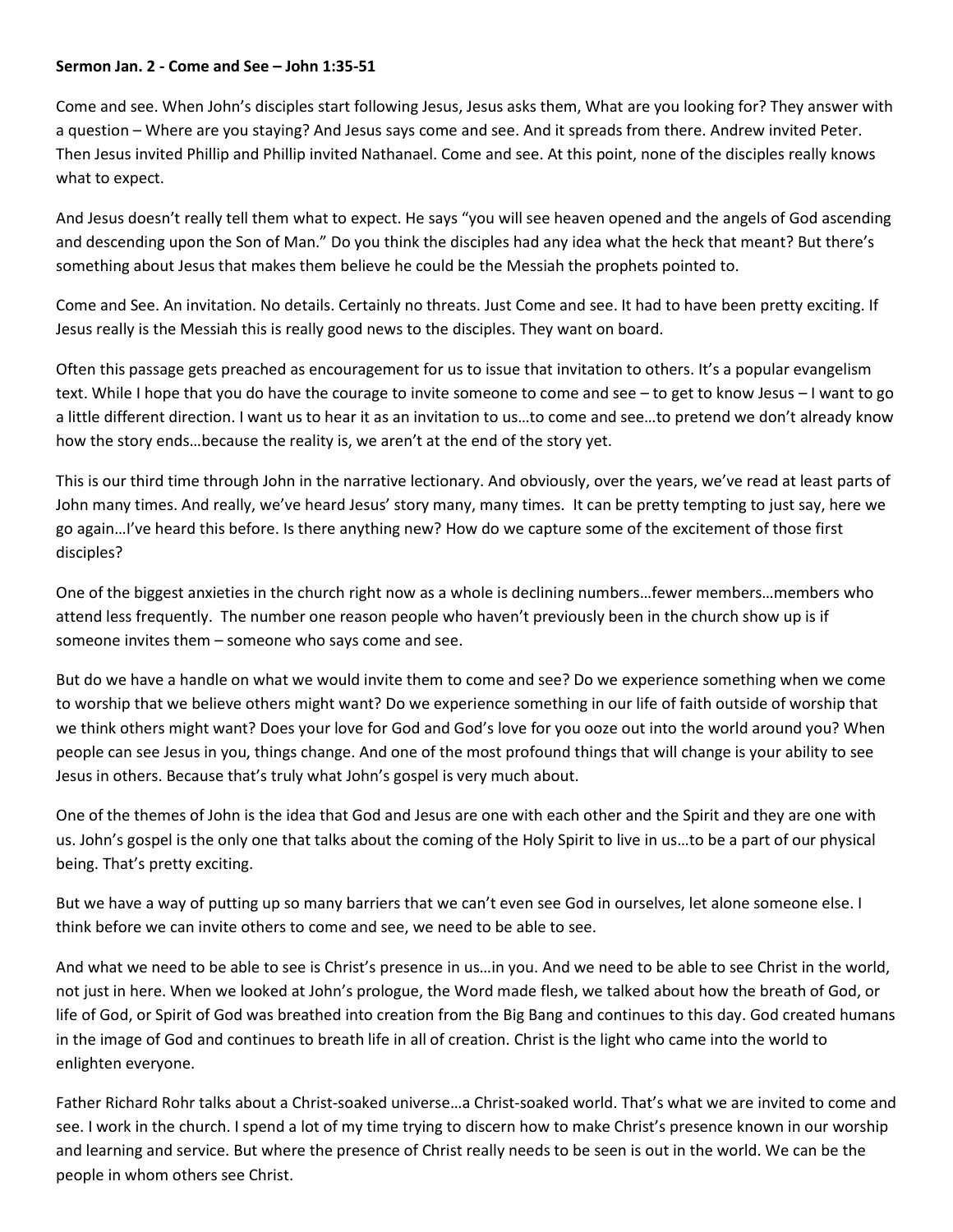## **Sermon Jan. 2 - Come and See – John 1:35-51**

Come and see. When John's disciples start following Jesus, Jesus asks them, What are you looking for? They answer with a question – Where are you staying? And Jesus says come and see. And it spreads from there. Andrew invited Peter. Then Jesus invited Phillip and Phillip invited Nathanael. Come and see. At this point, none of the disciples really knows what to expect.

And Jesus doesn't really tell them what to expect. He says "you will see heaven opened and the angels of God ascending and descending upon the Son of Man." Do you think the disciples had any idea what the heck that meant? But there's something about Jesus that makes them believe he could be the Messiah the prophets pointed to.

Come and See. An invitation. No details. Certainly no threats. Just Come and see. It had to have been pretty exciting. If Jesus really is the Messiah this is really good news to the disciples. They want on board.

Often this passage gets preached as encouragement for us to issue that invitation to others. It's a popular evangelism text. While I hope that you do have the courage to invite someone to come and see – to get to know Jesus – I want to go a little different direction. I want us to hear it as an invitation to us…to come and see…to pretend we don't already know how the story ends…because the reality is, we aren't at the end of the story yet.

This is our third time through John in the narrative lectionary. And obviously, over the years, we've read at least parts of John many times. And really, we've heard Jesus' story many, many times. It can be pretty tempting to just say, here we go again…I've heard this before. Is there anything new? How do we capture some of the excitement of those first disciples?

One of the biggest anxieties in the church right now as a whole is declining numbers…fewer members…members who attend less frequently. The number one reason people who haven't previously been in the church show up is if someone invites them – someone who says come and see.

But do we have a handle on what we would invite them to come and see? Do we experience something when we come to worship that we believe others might want? Do we experience something in our life of faith outside of worship that we think others might want? Does your love for God and God's love for you ooze out into the world around you? When people can see Jesus in you, things change. And one of the most profound things that will change is your ability to see Jesus in others. Because that's truly what John's gospel is very much about.

One of the themes of John is the idea that God and Jesus are one with each other and the Spirit and they are one with us. John's gospel is the only one that talks about the coming of the Holy Spirit to live in us…to be a part of our physical being. That's pretty exciting.

But we have a way of putting up so many barriers that we can't even see God in ourselves, let alone someone else. I think before we can invite others to come and see, we need to be able to see.

And what we need to be able to see is Christ's presence in us…in you. And we need to be able to see Christ in the world, not just in here. When we looked at John's prologue, the Word made flesh, we talked about how the breath of God, or life of God, or Spirit of God was breathed into creation from the Big Bang and continues to this day. God created humans in the image of God and continues to breath life in all of creation. Christ is the light who came into the world to enlighten everyone.

Father Richard Rohr talks about a Christ-soaked universe…a Christ-soaked world. That's what we are invited to come and see. I work in the church. I spend a lot of my time trying to discern how to make Christ's presence known in our worship and learning and service. But where the presence of Christ really needs to be seen is out in the world. We can be the people in whom others see Christ.